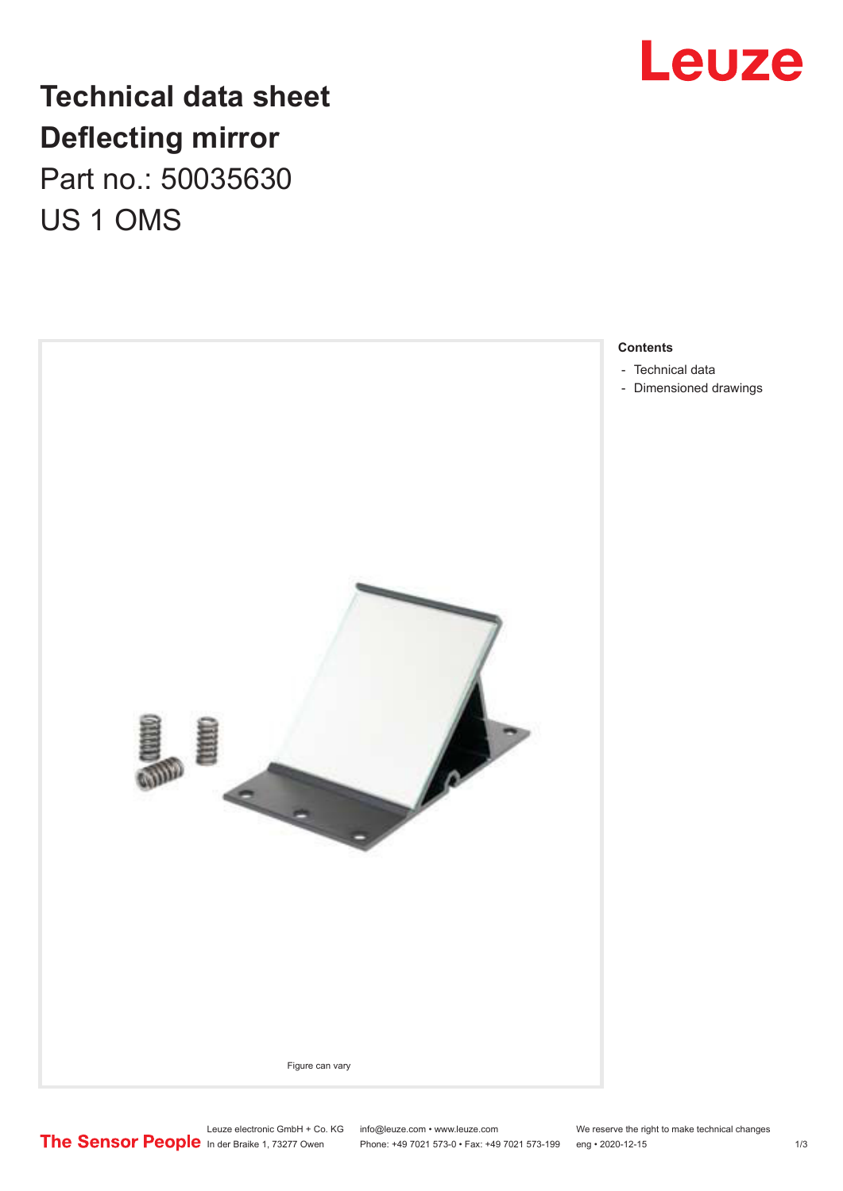

## **Technical data sheet Deflecting mirror** Part no.: 50035630

US 1 OMS



**Contents**

- [Technical data](#page-1-0)
- [Dimensioned drawings](#page-2-0)

Leuze electronic GmbH + Co. KG info@leuze.com • www.leuze.com We reserve the right to make technical changes<br>
The Sensor People in der Braike 1, 73277 Owen Phone: +49 7021 573-0 • Fax: +49 7021 573-199 eng • 2020-12-15

Phone: +49 7021 573-0 • Fax: +49 7021 573-199 eng • 2020-12-15 1 73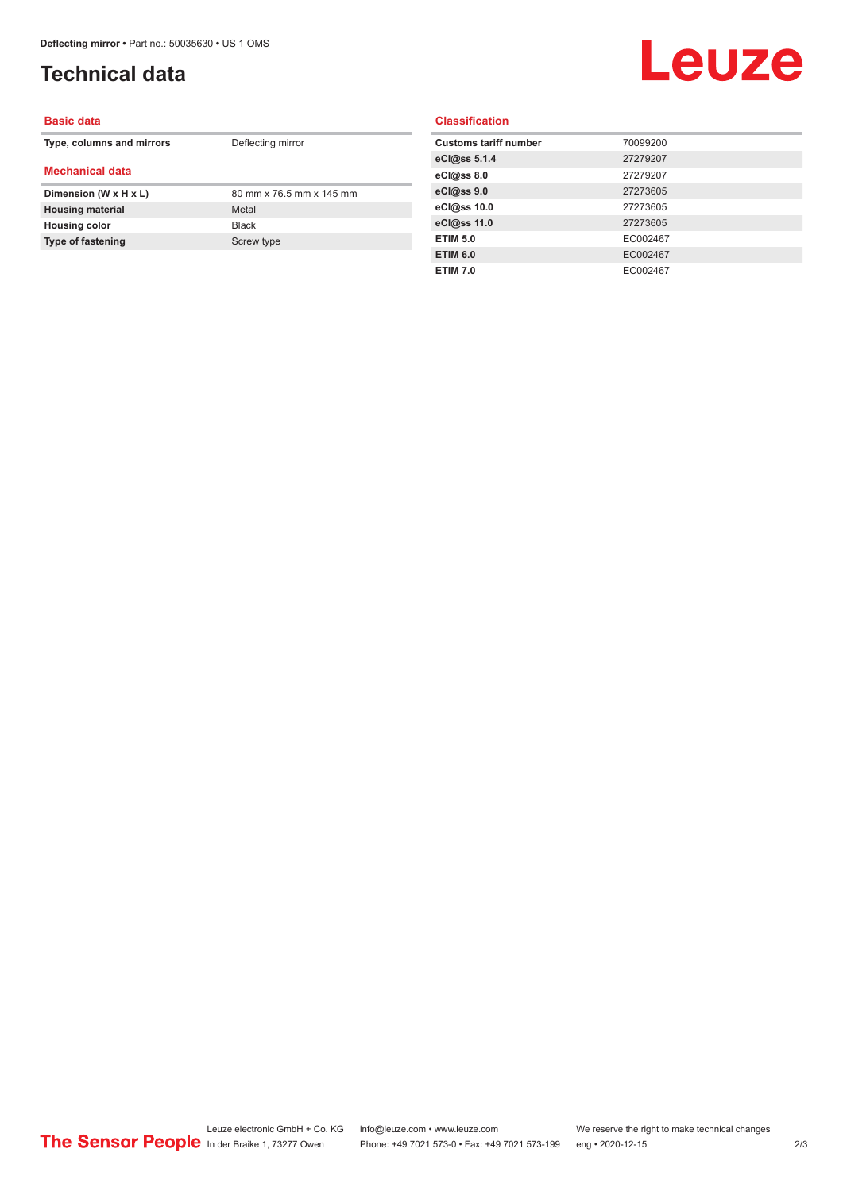### <span id="page-1-0"></span>**Technical data**

# Leuze

#### **Basic data**

| Type, columns and mirrors | Deflecting mirror        |
|---------------------------|--------------------------|
| <b>Mechanical data</b>    |                          |
| Dimension (W x H x L)     | 80 mm x 76.5 mm x 145 mm |
| <b>Housing material</b>   | Metal                    |
| <b>Housing color</b>      | <b>Black</b>             |
| <b>Type of fastening</b>  | Screw type               |

#### **Classification**

| <b>Customs tariff number</b> | 70099200 |
|------------------------------|----------|
| eCl@ss 5.1.4                 | 27279207 |
| eCl@ss 8.0                   | 27279207 |
| eCl@ss 9.0                   | 27273605 |
| eCl@ss 10.0                  | 27273605 |
| eCl@ss 11.0                  | 27273605 |
| <b>ETIM 5.0</b>              | EC002467 |
| <b>ETIM 6.0</b>              | EC002467 |
| <b>ETIM 7.0</b>              | EC002467 |
|                              |          |